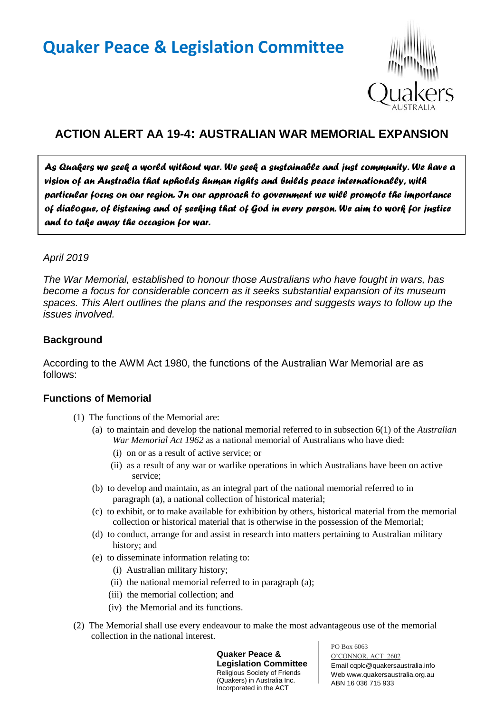# **Quaker Peace & Legislation Committee**



# **ACTION ALERT AA 19-4: AUSTRALIAN WAR MEMORIAL EXPANSION**

*As Quakers we seek a world without war. We seek a sustainable and just community. We have a vision of an Australia that upholds human rights and builds peace internationally, with particular focus on our region. In our approach to government we will promote the importance of dialogue, of listening and of seeking that of God in every person. We aim to work for justice and to take away the occasion for war.* 

# *April 2019*

*The War Memorial, established to honour those Australians who have fought in wars, has become a focus for considerable concern as it seeks substantial expansion of its museum spaces. This Alert outlines the plans and the responses and suggests ways to follow up the issues involved.*

# **Background**

According to the AWM Act 1980, the functions of the Australian War Memorial are as follows:

#### **Functions of Memorial**

- (1) The functions of the Memorial are:
	- (a) to maintain and develop the national memorial referred to in subsection 6(1) of the *Australian War Memorial Act 1962* as a national memorial of Australians who have died:
		- (i) on or as a result of active service; or
		- (ii) as a result of any war or warlike operations in which Australians have been on active service;
	- (b) to develop and maintain, as an integral part of the national memorial referred to in paragraph (a), a national collection of historical material;
	- (c) to exhibit, or to make available for exhibition by others, historical material from the memorial collection or historical material that is otherwise in the possession of the Memorial;
	- (d) to conduct, arrange for and assist in research into matters pertaining to Australian military history; and
	- (e) to disseminate information relating to:
		- (i) Australian military history;
		- (ii) the national memorial referred to in paragraph (a);
		- (iii) the memorial collection; and
		- (iv) the Memorial and its functions.
- (2) The Memorial shall use every endeavour to make the most advantageous use of the memorial collection in the national interest.

**Quaker Peace & Legislation Committee** Religious Society of Friends (Quakers) in Australia Inc. Incorporated in the ACT

PO Box 6063 O'CONNOR, ACT 2602 Email cqplc@quakersaustralia.info Web www.quakersaustralia.org.au ABN 16 036 715 933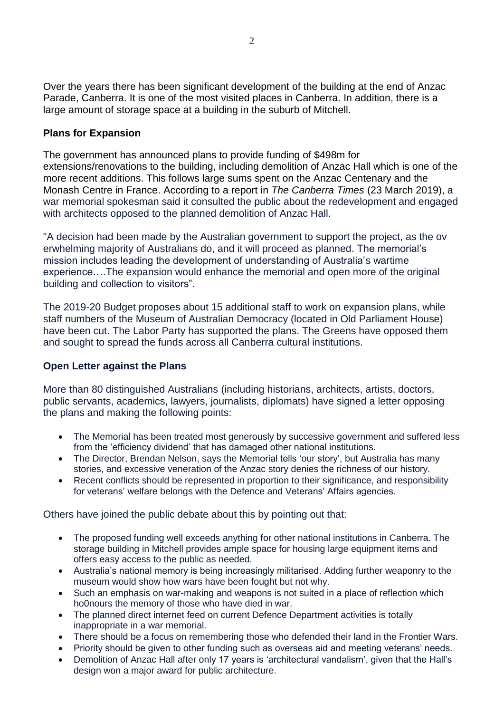Over the years there has been significant development of the building at the end of Anzac Parade, Canberra. It is one of the most visited places in Canberra. In addition, there is a large amount of storage space at a building in the suburb of Mitchell.

# **Plans for Expansion**

The government has announced plans to provide funding of \$498m for extensions/renovations to the building, including demolition of Anzac Hall which is one of the more recent additions. This follows large sums spent on the Anzac Centenary and the Monash Centre in France. According to a report in *The Canberra Times* (23 March 2019), a war memorial spokesman said it consulted the public about the redevelopment and engaged with architects opposed to the planned demolition of Anzac Hall.

"A decision had been made by the Australian government to support the project, as the ov erwhelming majority of Australians do, and it will proceed as planned. The memorial's mission includes leading the development of understanding of Australia's wartime experience….The expansion would enhance the memorial and open more of the original building and collection to visitors".

The 2019-20 Budget proposes about 15 additional staff to work on expansion plans, while staff numbers of the Museum of Australian Democracy (located in Old Parliament House) have been cut. The Labor Party has supported the plans. The Greens have opposed them and sought to spread the funds across all Canberra cultural institutions.

# **Open Letter against the Plans**

More than 80 distinguished Australians (including historians, architects, artists, doctors, public servants, academics, lawyers, journalists, diplomats) have signed a letter opposing the plans and making the following points:

- The Memorial has been treated most generously by successive government and suffered less from the 'efficiency dividend' that has damaged other national institutions.
- The Director, Brendan Nelson, says the Memorial tells 'our story', but Australia has many stories, and excessive veneration of the Anzac story denies the richness of our history.
- Recent conflicts should be represented in proportion to their significance, and responsibility for veterans' welfare belongs with the Defence and Veterans' Affairs agencies.

Others have joined the public debate about this by pointing out that:

- The proposed funding well exceeds anything for other national institutions in Canberra. The storage building in Mitchell provides ample space for housing large equipment items and offers easy access to the public as needed.
- Australia's national memory is being increasingly militarised. Adding further weaponry to the museum would show how wars have been fought but not why.
- Such an emphasis on war-making and weapons is not suited in a place of reflection which ho0nours the memory of those who have died in war.
- The planned direct internet feed on current Defence Department activities is totally inappropriate in a war memorial.
- There should be a focus on remembering those who defended their land in the Frontier Wars.
- Priority should be given to other funding such as overseas aid and meeting veterans' needs.
- Demolition of Anzac Hall after only 17 years is 'architectural vandalism', given that the Hall's design won a major award for public architecture.